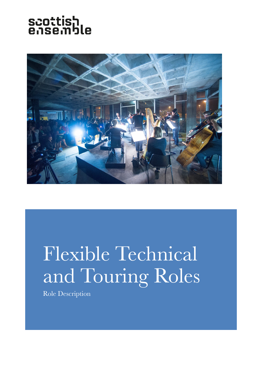# scottish<br>ensemble



## Flexible Technical and Touring Roles

Role Description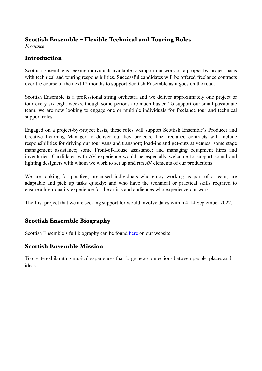#### **Scottish Ensemble – Flexible Technical and Touring Roles**

*Freelance*

#### **Introduction**

Scottish Ensemble is seeking individuals available to support our work on a project-by-project basis with technical and touring responsibilities. Successful candidates will be offered freelance contracts over the course of the next 12 months to support Scottish Ensemble as it goes on the road.

Scottish Ensemble is a professional string orchestra and we deliver approximately one project or tour every six-eight weeks, though some periods are much busier. To support our small passionate team, we are now looking to engage one or multiple individuals for freelance tour and technical support roles.

Engaged on a project-by-project basis, these roles will support Scottish Ensemble's Producer and Creative Learning Manager to deliver our key projects. The freelance contracts will include responsibilities for driving our tour vans and transport; load-ins and get-outs at venues; some stage management assistance; some Front-of-House assistance; and managing equipment hires and inventories. Candidates with AV experience would be especially welcome to support sound and lighting designers with whom we work to set up and run AV elements of our productions.

We are looking for positive, organised individuals who enjoy working as part of a team; are adaptable and pick up tasks quickly; and who have the technical or practical skills required to ensure a high-quality experience for the artists and audiences who experience our work.

The first project that we are seeking support for would involve dates within 4-14 September 2022.

#### **Scottish Ensemble Biography**

Scottish Ensemble's full biography can be found [here](https://scottishensemble.co.uk/about-scottish-ensemble/) on our website.

#### **Scottish Ensemble Mission**

To create exhilarating musical experiences that forge new connections between people, places and ideas.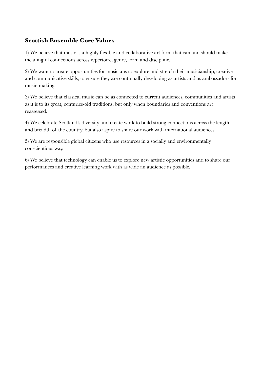#### **Scottish Ensemble Core Values**

1) We believe that music is a highly flexible and collaborative art form that can and should make meaningful connections across repertoire, genre, form and discipline.

2) We want to create opportunities for musicians to explore and stretch their musicianship, creative and communicative skills, to ensure they are continually developing as artists and as ambassadors for music-making.

3) We believe that classical music can be as connected to current audiences, communities and artists as it is to its great, centuries-old traditions, but only when boundaries and conventions are reassessed.

4) We celebrate Scotland's diversity and create work to build strong connections across the length and breadth of the country, but also aspire to share our work with international audiences.

5) We are responsible global citizens who use resources in a socially and environmentally conscientious way.

6) We believe that technology can enable us to explore new artistic opportunities and to share our performances and creative learning work with as wide an audience as possible.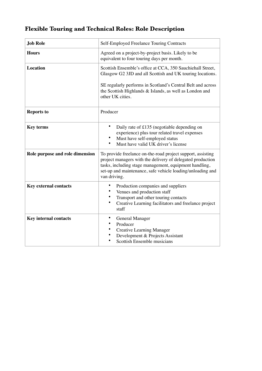### **Flexible Touring and Technical Roles: Role Description**

| <b>Job Role</b>                 | Self-Employed Freelance Touring Contracts                                                                                                                                                                                                                             |
|---------------------------------|-----------------------------------------------------------------------------------------------------------------------------------------------------------------------------------------------------------------------------------------------------------------------|
| <b>Hours</b>                    | Agreed on a project-by-project basis. Likely to be<br>equivalent to four touring days per month.                                                                                                                                                                      |
| <b>Location</b>                 | Scottish Ensemble's office at CCA, 350 Sauchiehall Street,<br>Glasgow G2 3JD and all Scottish and UK touring locations.<br>SE regularly performs in Scotland's Central Belt and across<br>the Scottish Highlands & Islands, as well as London and<br>other UK cities. |
| <b>Reports to</b>               | Producer                                                                                                                                                                                                                                                              |
| <b>Key terms</b>                | Daily rate of £135 (negotiable depending on<br>experience) plus tour related travel expenses<br>Must have self-employed status<br>Must have valid UK driver's license<br>٠                                                                                            |
| Role purpose and role dimension | To provide freelance on-the-road project support, assisting<br>project managers with the delivery of delegated production<br>tasks, including stage management, equipment handling,<br>set-up and maintenance, safe vehicle loading/unloading and<br>van driving.     |
| <b>Key external contacts</b>    | Production companies and suppliers<br>Venues and production staff<br>Transport and other touring contacts<br>Creative Learning facilitators and freelance project<br>staff                                                                                            |
| <b>Key internal contacts</b>    | <b>General Manager</b><br>Producer<br><b>Creative Learning Manager</b><br>Development & Projects Assistant<br>Scottish Ensemble musicians                                                                                                                             |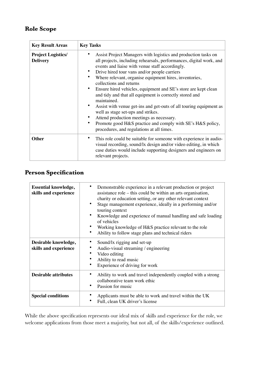#### **Role Scope**

| <b>Key Result Areas</b>                      | <b>Key Tasks</b>                                                                                                                                                                                                                                                                                                                                                                                                                                                                                                                                                                                                                                                                                                                             |
|----------------------------------------------|----------------------------------------------------------------------------------------------------------------------------------------------------------------------------------------------------------------------------------------------------------------------------------------------------------------------------------------------------------------------------------------------------------------------------------------------------------------------------------------------------------------------------------------------------------------------------------------------------------------------------------------------------------------------------------------------------------------------------------------------|
| <b>Project Logistics/</b><br><b>Delivery</b> | Assist Project Managers with logistics and production tasks on<br>all projects, including rehearsals, performances, digital work, and<br>events and liaise with venue staff accordingly.<br>Drive hired tour vans and/or people carriers<br>Where relevant, organise equipment hires, inventories,<br>collections and returns<br>Ensure hired vehicles, equipment and SE's store are kept clean<br>and tidy and that all equipment is correctly stored and<br>maintained.<br>Assist with venue get-ins and get-outs of all touring equipment as<br>well as stage set-ups and strikes.<br>Attend production meetings as necessary.<br>Promote good H&S practice and comply with SE's H&S policy,<br>procedures, and regulations at all times. |
| <b>Other</b>                                 | This role could be suitable for someone with experience in audio-<br>visual recording, sound/lx design and/or video editing, in which<br>case duties would include supporting designers and engineers on<br>relevant projects.                                                                                                                                                                                                                                                                                                                                                                                                                                                                                                               |

#### **Person Specification**

| <b>Essential knowledge,</b><br>skills and experience | Demonstrable experience in a relevant production or project<br>assistance role – this could be within an arts organisation,<br>charity or education setting, or any other relevant context<br>Stage management experience, ideally in a performing and/or<br>touring context<br>Knowledge and experience of manual handling and safe loading<br>of vehicles<br>Working knowledge of H&S practice relevant to the role<br>Ability to follow stage plans and technical riders |
|------------------------------------------------------|-----------------------------------------------------------------------------------------------------------------------------------------------------------------------------------------------------------------------------------------------------------------------------------------------------------------------------------------------------------------------------------------------------------------------------------------------------------------------------|
| Desirable knowledge,<br>skills and experience        | Sound/lx rigging and set-up<br>Audio-visual streaming / engineering<br>Video editing<br>Ability to read music<br>Experience of driving for work                                                                                                                                                                                                                                                                                                                             |
| <b>Desirable attributes</b>                          | Ability to work and travel independently coupled with a strong<br>collaborative team work ethic<br>Passion for music                                                                                                                                                                                                                                                                                                                                                        |
| <b>Special conditions</b>                            | Applicants must be able to work and travel within the UK<br>Full, clean UK driver's license                                                                                                                                                                                                                                                                                                                                                                                 |

While the above specification represents our ideal mix of skills and experience for the role, we welcome applications from those meet a majority, but not all, of the skills/experience outlined.